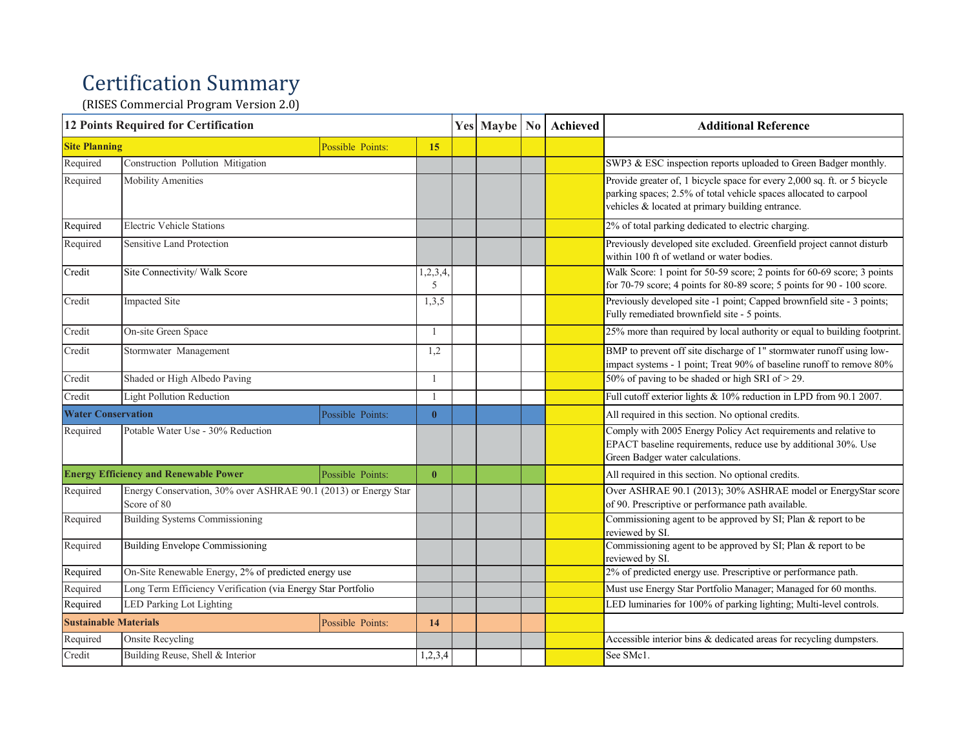## Certification Summary

(RISES Commercial Program Version 2.0)

| <b>12 Points Required for Certification</b>      |                                                                                |                  |              |  | Yes   Maybe   No   Achieved                                        | <b>Additional Reference</b>                                                                                                                                                                       |
|--------------------------------------------------|--------------------------------------------------------------------------------|------------------|--------------|--|--------------------------------------------------------------------|---------------------------------------------------------------------------------------------------------------------------------------------------------------------------------------------------|
| <b>Site Planning</b>                             |                                                                                | Possible Points: | 15           |  |                                                                    |                                                                                                                                                                                                   |
| Required                                         | Construction Pollution Mitigation                                              |                  |              |  |                                                                    | SWP3 & ESC inspection reports uploaded to Green Badger monthly.                                                                                                                                   |
| Required                                         | <b>Mobility Amenities</b>                                                      |                  |              |  |                                                                    | Provide greater of, 1 bicycle space for every 2,000 sq. ft. or 5 bicycle<br>parking spaces; 2.5% of total vehicle spaces allocated to carpool<br>vehicles & located at primary building entrance. |
| Required                                         | <b>Electric Vehicle Stations</b>                                               |                  |              |  |                                                                    | 2% of total parking dedicated to electric charging.                                                                                                                                               |
| Required                                         | Sensitive Land Protection                                                      |                  |              |  |                                                                    | Previously developed site excluded. Greenfield project cannot disturb<br>within 100 ft of wetland or water bodies.                                                                                |
| Credit                                           | Site Connectivity/ Walk Score                                                  |                  | 1,2,3,4<br>5 |  |                                                                    | Walk Score: 1 point for 50-59 score; 2 points for 60-69 score; 3 points<br>for 70-79 score; 4 points for 80-89 score; 5 points for 90 - 100 score.                                                |
| Credit                                           | <b>Impacted Site</b>                                                           |                  | 1,3,5        |  |                                                                    | Previously developed site -1 point; Capped brownfield site - 3 points;<br>Fully remediated brownfield site - 5 points.                                                                            |
| Credit                                           | On-site Green Space                                                            |                  | $\mathbf{1}$ |  |                                                                    | 25% more than required by local authority or equal to building footprint                                                                                                                          |
| Credit                                           | Stormwater Management                                                          |                  | 1,2          |  |                                                                    | BMP to prevent off site discharge of 1" stormwater runoff using low-<br>impact systems - 1 point; Treat 90% of baseline runoff to remove 80%                                                      |
| Credit                                           | Shaded or High Albedo Paving                                                   |                  | $\mathbf{1}$ |  |                                                                    | 50% of paving to be shaded or high SRI of $>$ 29.                                                                                                                                                 |
| Credit                                           | <b>Light Pollution Reduction</b>                                               |                  | $\mathbf{1}$ |  |                                                                    | Full cutoff exterior lights & 10% reduction in LPD from 90.1 2007.                                                                                                                                |
| <b>Water Conservation</b>                        |                                                                                | Possible Points: | $\bf{0}$     |  |                                                                    | All required in this section. No optional credits.                                                                                                                                                |
| Required                                         | Potable Water Use - 30% Reduction                                              |                  |              |  |                                                                    | Comply with 2005 Energy Policy Act requirements and relative to<br>EPACT baseline requirements, reduce use by additional 30%. Use<br>Green Badger water calculations.                             |
| <b>Energy Efficiency and Renewable Power</b>     |                                                                                | Possible Points: | $\bf{0}$     |  |                                                                    | All required in this section. No optional credits.                                                                                                                                                |
| Required                                         | Energy Conservation, 30% over ASHRAE 90.1 (2013) or Energy Star<br>Score of 80 |                  |              |  |                                                                    | Over ASHRAE 90.1 (2013); 30% ASHRAE model or EnergyStar score<br>of 90. Prescriptive or performance path available.                                                                               |
| Required                                         | Building Systems Commissioning                                                 |                  |              |  |                                                                    | Commissioning agent to be approved by SI; Plan & report to be<br>reviewed by SI.                                                                                                                  |
| Required                                         | Building Envelope Commissioning                                                |                  |              |  |                                                                    | Commissioning agent to be approved by SI; Plan & report to be<br>reviewed by SI.                                                                                                                  |
| Required                                         | On-Site Renewable Energy, 2% of predicted energy use                           |                  |              |  |                                                                    | 2% of predicted energy use. Prescriptive or performance path.                                                                                                                                     |
| Required                                         | Long Term Efficiency Verification (via Energy Star Portfolio                   |                  |              |  |                                                                    | Must use Energy Star Portfolio Manager; Managed for 60 months.                                                                                                                                    |
| <b>LED Parking Lot Lighting</b><br>Required      |                                                                                |                  |              |  | LED luminaries for 100% of parking lighting; Multi-level controls. |                                                                                                                                                                                                   |
| <b>Sustainable Materials</b><br>Possible Points: |                                                                                | 14               |              |  |                                                                    |                                                                                                                                                                                                   |
| Required                                         | Onsite Recycling                                                               |                  |              |  |                                                                    | Accessible interior bins & dedicated areas for recycling dumpsters.                                                                                                                               |
| Credit                                           | Building Reuse, Shell & Interior                                               |                  | 1,2,3,4      |  |                                                                    | See SMc1.                                                                                                                                                                                         |